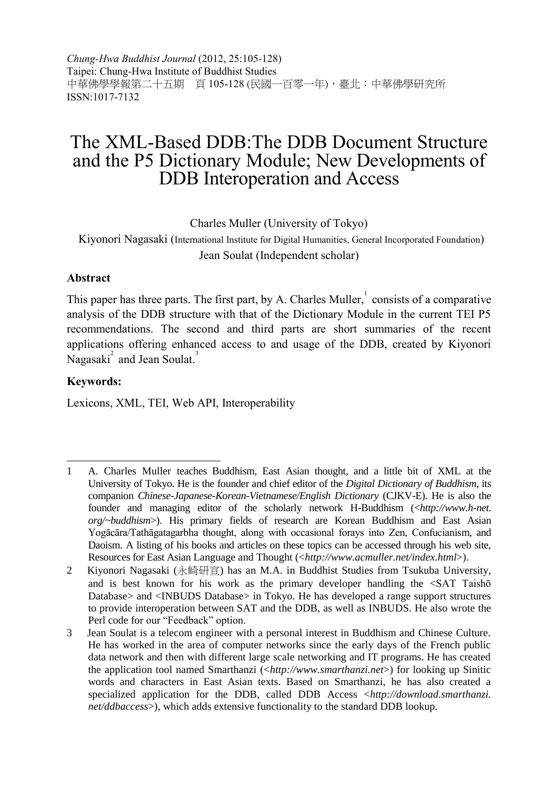*Chung-Hwa Buddhist Journal* (2012, 25:105-128) Taipei: Chung-Hwa Institute of Buddhist Studies 中華佛學學報第二十五期 頁 105-128 (民國一百零一年),臺北:中華佛學研究所 ISSN:1017-7132

## The XML-Based DDB:The DDB Document Structure and the P5 Dictionary Module; New Developments of DDB Interoperation and Access

Charles Muller (University of Tokyo)

Kiyonori Nagasaki (International Institute for Digital Humanities, General Incorporated Foundation) Jean Soulat (Independent scholar)

#### **Abstract**

This paper has three parts. The first part, by A. Charles Muller, $\frac{1}{1}$  consists of a comparative analysis of the DDB structure with that of the Dictionary Module in the current TEI P5 recommendations. The second and third parts are short summaries of the recent applications offering enhanced access to and usage of the DDB, created by Kiyonori Nagasaki<sup>2</sup> and Jean Soulat.<sup>3</sup>

#### **Keywords:**

Lexicons, XML, TEI, Web API, Interoperability

j 1 A. Charles Muller teaches Buddhism, East Asian thought, and a little bit of XML at the University of Tokyo. He is the founder and chief editor of the *Digital Dictionary of Buddhism*, its companion *Chinese-Japanese-Korean-Vietnamese/English Dictionary* (CJKV-E). He is also the founder and managing editor of the scholarly network H-Buddhism (<*http://www.h-net. org/~buddhism*>). His primary fields of research are Korean Buddhism and East Asian Yogācāra/Tathāgatagarbha thought, along with occasional forays into Zen, Confucianism, and Daoism. A listing of his books and articles on these topics can be accessed through his web site, Resources for East Asian Language and Thought (<*http://www.acmuller.net/index.html*>).

<sup>2</sup> Kiyonori Nagasaki (永崎研宣) has an M.A. in Buddhist Studies from Tsukuba University, and is best known for his work as the primary developer handling the <SAT Taishō Database> and <INBUDS Database> in Tokyo. He has developed a range support structures to provide interoperation between SAT and the DDB, as well as INBUDS. He also wrote the Perl code for our "Feedback" option.

<sup>3</sup> Jean Soulat is a telecom engineer with a personal interest in Buddhism and Chinese Culture. He has worked in the area of computer networks since the early days of the French public data network and then with different large scale networking and IT programs. He has created the application tool named Smarthanzi (<*http://www.smarthanzi.net*>) for looking up Sinitic words and characters in East Asian texts. Based on Smarthanzi, he has also created a specialized application for the DDB, called DDB Access <*http://download.smarthanzi. net/ddbaccess*>), which adds extensive functionality to the standard DDB lookup.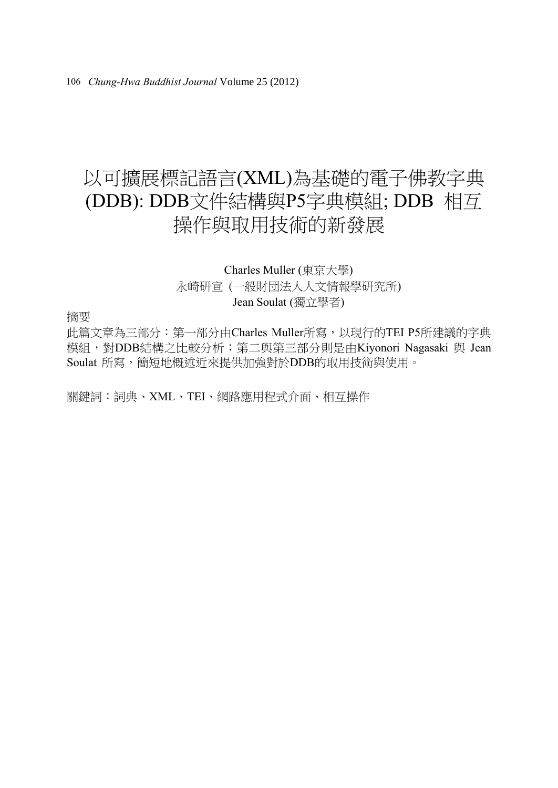# 以可擴展標記語言(XML)為基礎的電子佛教字典 (DDB): DDB文件結構與P5字典模組; DDB 相互 操作與取用技術的新發展

### Charles Muller (東京大學) 永崎研宣 (一般財団法人人文情報學研究所) Jean Soulat (獨立學者)

摘要

此篇文章為三部分: 第一部分由Charles Muller所寫, 以現行的TEI P5所建議的字典 模組,對DDB結構之比較分析;第二與第三部分則是由Kiyonori Nagasaki 與 Jean Soulat 所寫,簡短地概述近來提供加強對於DDB的取用技術與使用。

關鍵詞:詞典、XML、TEI、網路應用程式介面、相互操作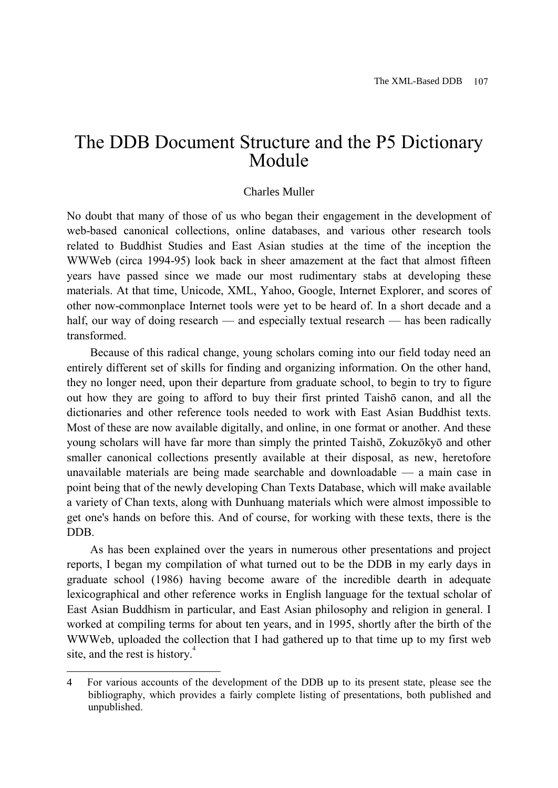### The DDB Document Structure and the P5 Dictionary Module

#### Charles Muller

No doubt that many of those of us who began their engagement in the development of web-based canonical collections, online databases, and various other research tools related to Buddhist Studies and East Asian studies at the time of the inception the WWWeb (circa 1994-95) look back in sheer amazement at the fact that almost fifteen years have passed since we made our most rudimentary stabs at developing these materials. At that time, Unicode, XML, Yahoo, Google, Internet Explorer, and scores of other now-commonplace Internet tools were yet to be heard of. In a short decade and a half, our way of doing research — and especially textual research — has been radically transformed.

Because of this radical change, young scholars coming into our field today need an entirely different set of skills for finding and organizing information. On the other hand, they no longer need, upon their departure from graduate school, to begin to try to figure out how they are going to afford to buy their first printed Taishō canon, and all the dictionaries and other reference tools needed to work with East Asian Buddhist texts. Most of these are now available digitally, and online, in one format or another. And these young scholars will have far more than simply the printed Taishō, Zokuzōkyō and other smaller canonical collections presently available at their disposal, as new, heretofore unavailable materials are being made searchable and downloadable — a main case in point being that of the newly developing Chan Texts Database, which will make available a variety of Chan texts, along with Dunhuang materials which were almost impossible to get one's hands on before this. And of course, for working with these texts, there is the DDB.

As has been explained over the years in numerous other presentations and project reports, I began my compilation of what turned out to be the DDB in my early days in graduate school (1986) having become aware of the incredible dearth in adequate lexicographical and other reference works in English language for the textual scholar of East Asian Buddhism in particular, and East Asian philosophy and religion in general. I worked at compiling terms for about ten years, and in 1995, shortly after the birth of the WWWeb, uploaded the collection that I had gathered up to that time up to my first web site, and the rest is history.<sup>4</sup>

<sup>4</sup> For various accounts of the development of the DDB up to its present state, please see the bibliography, which provides a fairly complete listing of presentations, both published and unpublished.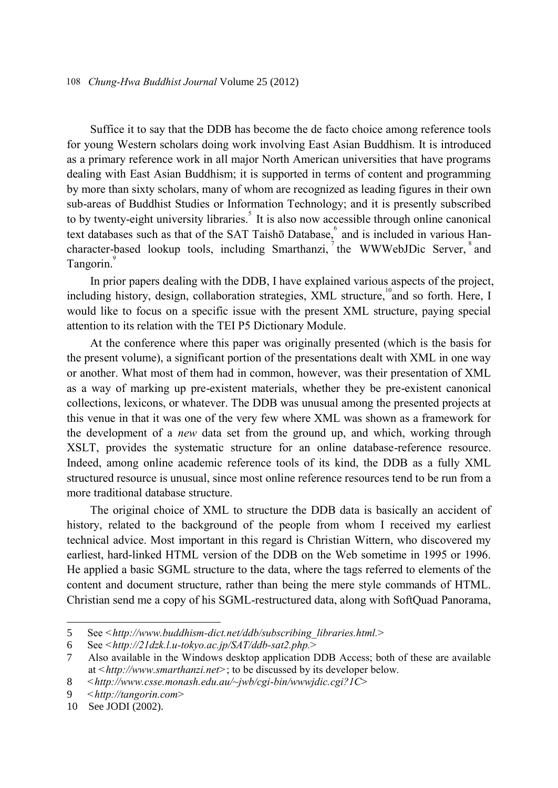Suffice it to say that the DDB has become the de facto choice among reference tools for young Western scholars doing work involving East Asian Buddhism. It is introduced as a primary reference work in all major North American universities that have programs dealing with East Asian Buddhism; it is supported in terms of content and programming by more than sixty scholars, many of whom are recognized as leading figures in their own sub-areas of Buddhist Studies or Information Technology; and it is presently subscribed to by twenty-eight university libraries.<sup>5</sup> It is also now accessible through online canonical text databases such as that of the SAT Taishō Database, and is included in various Hancharacter-based lookup tools, including Smarthanzi, the WWWebJDic Server, and Tangorin.<sup>9</sup>

In prior papers dealing with the DDB, I have explained various aspects of the project, including history, design, collaboration strategies, XML structure,<sup>10</sup>and so forth. Here, I would like to focus on a specific issue with the present XML structure, paying special attention to its relation with the TEI P5 Dictionary Module.

At the conference where this paper was originally presented (which is the basis for the present volume), a significant portion of the presentations dealt with XML in one way or another. What most of them had in common, however, was their presentation of XML as a way of marking up pre-existent materials, whether they be pre-existent canonical collections, lexicons, or whatever. The DDB was unusual among the presented projects at this venue in that it was one of the very few where XML was shown as a framework for the development of a *new* data set from the ground up, and which, working through XSLT, provides the systematic structure for an online database-reference resource. Indeed, among online academic reference tools of its kind, the DDB as a fully XML structured resource is unusual, since most online reference resources tend to be run from a more traditional database structure.

The original choice of XML to structure the DDB data is basically an accident of history, related to the background of the people from whom I received my earliest technical advice. Most important in this regard is Christian Wittern, who discovered my earliest, hard-linked HTML version of the DDB on the Web sometime in 1995 or 1996. He applied a basic SGML structure to the data, where the tags referred to elements of the content and document structure, rather than being the mere style commands of HTML. Christian send me a copy of his SGML-restructured data, along with SoftQuad Panorama,

j

<sup>5</sup> See *<http://www.buddhism-dict.net/ddb/subscribing\_libraries.html.>*

<sup>6</sup> See *<http://21dzk.l.u-tokyo.ac.jp/SAT/ddb-sat2.php.>*

<sup>7</sup> Also available in the Windows desktop application DDB Access; both of these are available at *<http://www.smarthanzi.net>*; to be discussed by its developer below.

<sup>8</sup> *<http://www.csse.monash.edu.au/~jwb/cgi-bin/wwwjdic.cgi?1C>*

<sup>9</sup> *<http://tangorin.com>*

<sup>10</sup> See JODI (2002).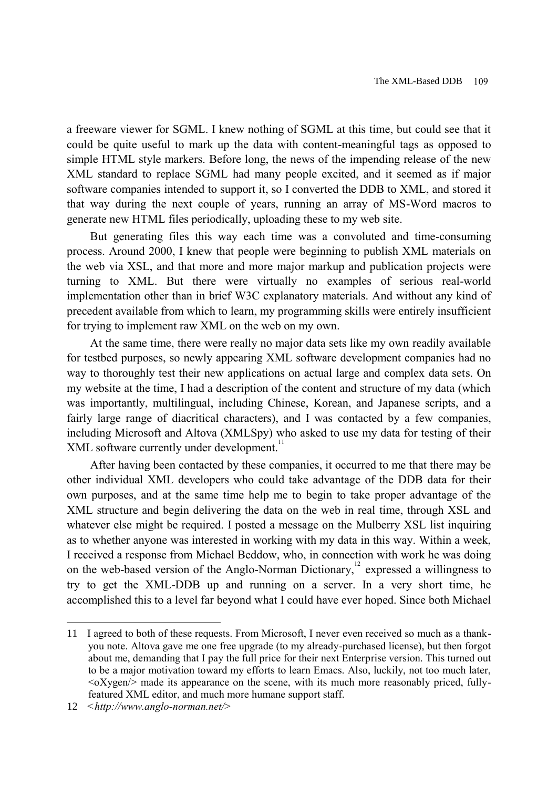a freeware viewer for SGML. I knew nothing of SGML at this time, but could see that it could be quite useful to mark up the data with content-meaningful tags as opposed to simple HTML style markers. Before long, the news of the impending release of the new XML standard to replace SGML had many people excited, and it seemed as if major software companies intended to support it, so I converted the DDB to XML, and stored it that way during the next couple of years, running an array of MS-Word macros to generate new HTML files periodically, uploading these to my web site.

But generating files this way each time was a convoluted and time-consuming process. Around 2000, I knew that people were beginning to publish XML materials on the web via XSL, and that more and more major markup and publication projects were turning to XML. But there were virtually no examples of serious real-world implementation other than in brief W3C explanatory materials. And without any kind of precedent available from which to learn, my programming skills were entirely insufficient for trying to implement raw XML on the web on my own.

At the same time, there were really no major data sets like my own readily available for testbed purposes, so newly appearing XML software development companies had no way to thoroughly test their new applications on actual large and complex data sets. On my website at the time, I had a description of the content and structure of my data (which was importantly, multilingual, including Chinese, Korean, and Japanese scripts, and a fairly large range of diacritical characters), and I was contacted by a few companies, including Microsoft and Altova (XMLSpy) who asked to use my data for testing of their XML software currently under development.<sup>11</sup>

After having been contacted by these companies, it occurred to me that there may be other individual XML developers who could take advantage of the DDB data for their own purposes, and at the same time help me to begin to take proper advantage of the XML structure and begin delivering the data on the web in real time, through XSL and whatever else might be required. I posted a message on the Mulberry XSL list inquiring as to whether anyone was interested in working with my data in this way. Within a week, I received a response from Michael Beddow, who, in connection with work he was doing on the web-based version of the Anglo-Norman Dictionary,<sup>12</sup> expressed a willingness to try to get the XML-DDB up and running on a server. In a very short time, he accomplished this to a level far beyond what I could have ever hoped. Since both Michael

<sup>11</sup> I agreed to both of these requests. From Microsoft, I never even received so much as a thankyou note. Altova gave me one free upgrade (to my already-purchased license), but then forgot about me, demanding that I pay the full price for their next Enterprise version. This turned out to be a major motivation toward my efforts to learn Emacs. Also, luckily, not too much later,  $\langle$ oXygen $\rangle$  made its appearance on the scene, with its much more reasonably priced, fullyfeatured XML editor, and much more humane support staff.

<sup>12</sup> *<http://www.anglo-norman.net/>*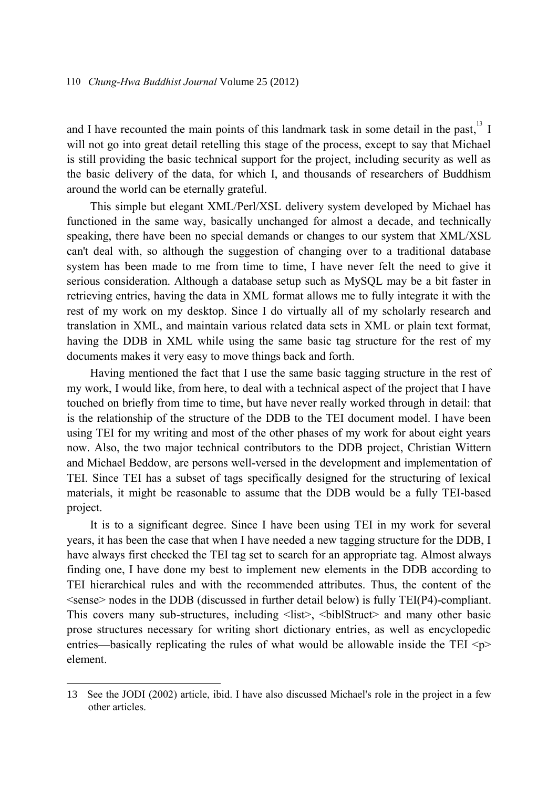and I have recounted the main points of this landmark task in some detail in the past,  $13 \text{ I}$ will not go into great detail retelling this stage of the process, except to say that Michael is still providing the basic technical support for the project, including security as well as the basic delivery of the data, for which I, and thousands of researchers of Buddhism around the world can be eternally grateful.

This simple but elegant XML/Perl/XSL delivery system developed by Michael has functioned in the same way, basically unchanged for almost a decade, and technically speaking, there have been no special demands or changes to our system that XML/XSL can't deal with, so although the suggestion of changing over to a traditional database system has been made to me from time to time, I have never felt the need to give it serious consideration. Although a database setup such as MySQL may be a bit faster in retrieving entries, having the data in XML format allows me to fully integrate it with the rest of my work on my desktop. Since I do virtually all of my scholarly research and translation in XML, and maintain various related data sets in XML or plain text format, having the DDB in XML while using the same basic tag structure for the rest of my documents makes it very easy to move things back and forth.

Having mentioned the fact that I use the same basic tagging structure in the rest of my work, I would like, from here, to deal with a technical aspect of the project that I have touched on briefly from time to time, but have never really worked through in detail: that is the relationship of the structure of the DDB to the TEI document model. I have been using TEI for my writing and most of the other phases of my work for about eight years now. Also, the two major technical contributors to the DDB project, Christian Wittern and Michael Beddow, are persons well-versed in the development and implementation of TEI. Since TEI has a subset of tags specifically designed for the structuring of lexical materials, it might be reasonable to assume that the DDB would be a fully TEI-based project.

It is to a significant degree. Since I have been using TEI in my work for several years, it has been the case that when I have needed a new tagging structure for the DDB, I have always first checked the TEI tag set to search for an appropriate tag. Almost always finding one, I have done my best to implement new elements in the DDB according to TEI hierarchical rules and with the recommended attributes. Thus, the content of the  $\le$ sense $\ge$  nodes in the DDB (discussed in further detail below) is fully TEI(P4)-compliant. This covers many sub-structures, including  $\langle$ list $\rangle$ ,  $\langle$ biblStruct $\rangle$  and many other basic prose structures necessary for writing short dictionary entries, as well as encyclopedic entries—basically replicating the rules of what would be allowable inside the TEI  $\langle p \rangle$ element.

<sup>13</sup> See the JODI (2002) article, ibid. I have also discussed Michael's role in the project in a few other articles.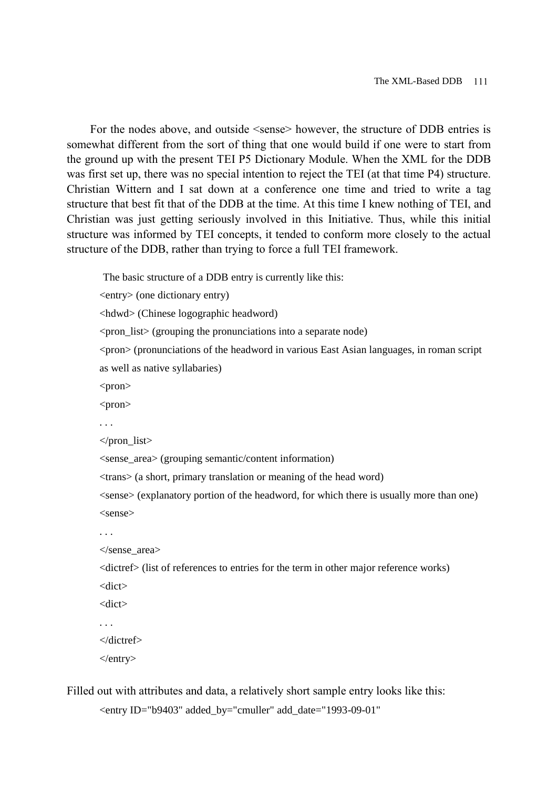For the nodes above, and outside  $\leq$ sense $\geq$  however, the structure of DDB entries is somewhat different from the sort of thing that one would build if one were to start from the ground up with the present TEI P5 Dictionary Module. When the XML for the DDB was first set up, there was no special intention to reject the TEI (at that time P4) structure. Christian Wittern and I sat down at a conference one time and tried to write a tag structure that best fit that of the DDB at the time. At this time I knew nothing of TEI, and Christian was just getting seriously involved in this Initiative. Thus, while this initial structure was informed by TEI concepts, it tended to conform more closely to the actual structure of the DDB, rather than trying to force a full TEI framework.

The basic structure of a DDB entry is currently like this:

<entry> (one dictionary entry)

<hdwd> (Chinese logographic headword)

<pron\_list> (grouping the pronunciations into a separate node)

<pron> (pronunciations of the headword in various East Asian languages, in roman script as well as native syllabaries)

<pron>

<pron>

 $<$ /pron list $>$ 

<sense\_area> (grouping semantic/content information)

<trans> (a short, primary translation or meaning of the head word)

<sense> (explanatory portion of the headword, for which there is usually more than one) <sense>

```
. . .
```

```
</sense_area>
```
<dictref> (list of references to entries for the term in other major reference works)

<dict>

<dict>

</dictref>

</entry>

Filled out with attributes and data, a relatively short sample entry looks like this:

<entry ID="b9403" added\_by="cmuller" add\_date="1993-09-01"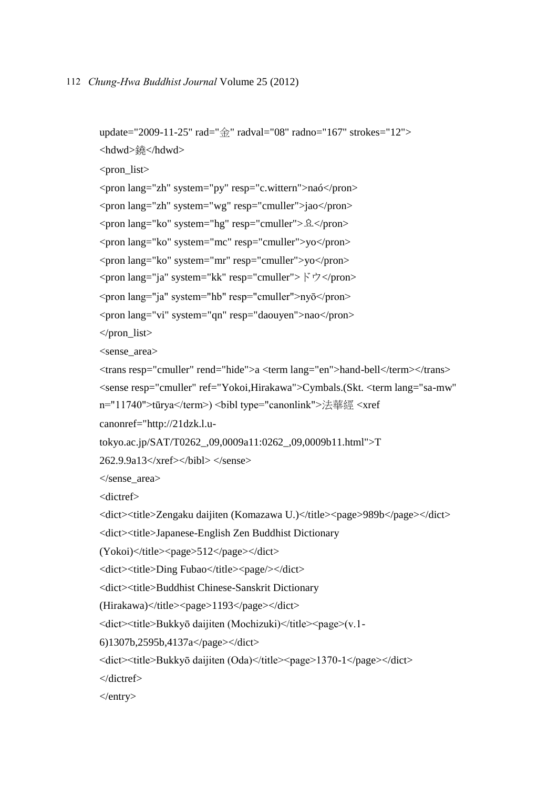```
update="2009-11-25" rad="金" radval="08" radno="167" strokes="12">
<hdwd>鐃</hdwd>
<pron list><pron lang="zh" system="py" resp="c.wittern">naó</pron>
<pron lang="zh" system="wg" resp="cmuller">jao</pron>
<pron lang="ko" system="hg" resp="cmuller">요</pron>
<pron lang="ko" system="mc" resp="cmuller">yo</pron>
<pron lang="ko" system="mr" resp="cmuller">yo</pron>
<pron lang="ja" system="kk" resp="cmuller">ドウ</pron>
<pron lang="ja" system="hb" resp="cmuller">nyō</pron>
<pron lang="vi" system="qn" resp="daouyen">nao</pron>
\langlepron list><sense_area>
<trans resp="cmuller" rend="hide">a <term lang="en">hand-bell</term></trans>
<sense resp="cmuller" ref="Yokoi,Hirakawa">Cymbals.(Skt. <term lang="sa-mw" 
n="11740">tūrya</term>) <br/> <br/>bibl type="canonlink">法華經 <xref
canonref="http://21dzk.l.u-
tokyo.ac.jp/SAT/T0262_,09,0009a11:0262_,09,0009b11.html">T 
262.9.9a13</xref></bibl> </sense>
</sense_area>
<dictref>
<dict><title>Zengaku daijiten (Komazawa U.)</title><page>989b</page></dict>
<dict><title>Japanese-English Zen Buddhist Dictionary 
(Yokoi)\langle\text{title}\rangle < page > 512 < / page > \langle\text{dict}\rangle<dict><title>Ding Fubao</title><page/>></dict>
<dict><title>Buddhist Chinese-Sanskrit Dictionary 
(Hirakawa)</title><page>1193</page></dict>
<dict><title>Bukkyō daijiten (Mochizuki)</title><page>(v.1-
6)1307b,2595b,4137a</page></dict>
<dict><title>Bukkyō daijiten (Oda)</title><page>1370-1</page></dict>
</dictref>
</entry>
```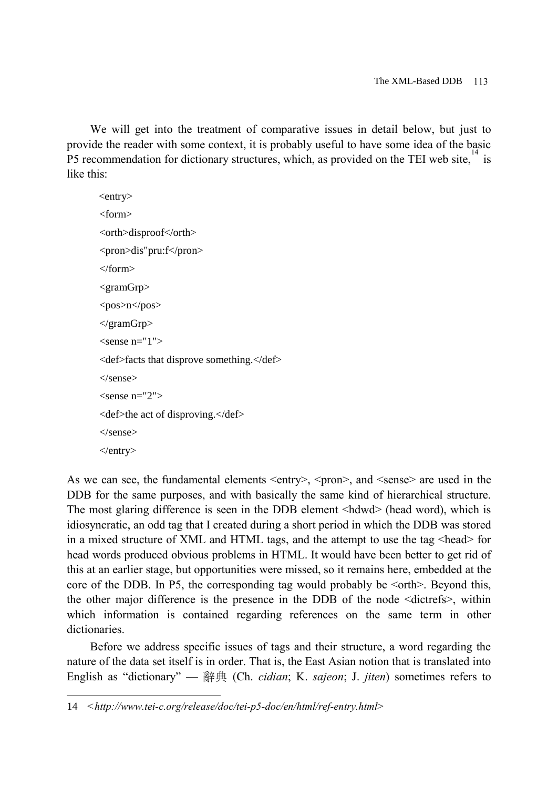We will get into the treatment of comparative issues in detail below, but just to provide the reader with some context, it is probably useful to have some idea of the basic P5 recommendation for dictionary structures, which, as provided on the TEI web site,  $14$  is like this:

<entry> <form> <orth>disproof</orth> <pron>dis"pru:f</pron> </form> <gramGrp> <pos>n</pos> </gramGrp>  $\epsilon$ sense n="1" $>$ <def>facts that disprove something.</def> </sense>  $<$ sense n="2" $>$ <def>the act of disproving.</def> </sense>  $\langle$ entry $>$ 

As we can see, the fundamental elements  $\langle$ entry $\rangle$ ,  $\langle$ pron $\rangle$ , and  $\langle$ sense $\rangle$  are used in the DDB for the same purposes, and with basically the same kind of hierarchical structure. The most glaring difference is seen in the DDB element <hdwd> (head word), which is idiosyncratic, an odd tag that I created during a short period in which the DDB was stored in a mixed structure of XML and HTML tags, and the attempt to use the tag <head> for head words produced obvious problems in HTML. It would have been better to get rid of this at an earlier stage, but opportunities were missed, so it remains here, embedded at the core of the DDB. In P5, the corresponding tag would probably be  $\leq$  orth $\geq$ . Beyond this, the other major difference is the presence in the DDB of the node <dictrefs>, within which information is contained regarding references on the same term in other dictionaries.

Before we address specific issues of tags and their structure, a word regarding the nature of the data set itself is in order. That is, the East Asian notion that is translated into English as "dictionary" — 辭典 (Ch. *cidian*; K. *sajeon*; J. *jiten*) sometimes refers to

<sup>14</sup> *<http://www.tei-c.org/release/doc/tei-p5-doc/en/html/ref-entry.html>*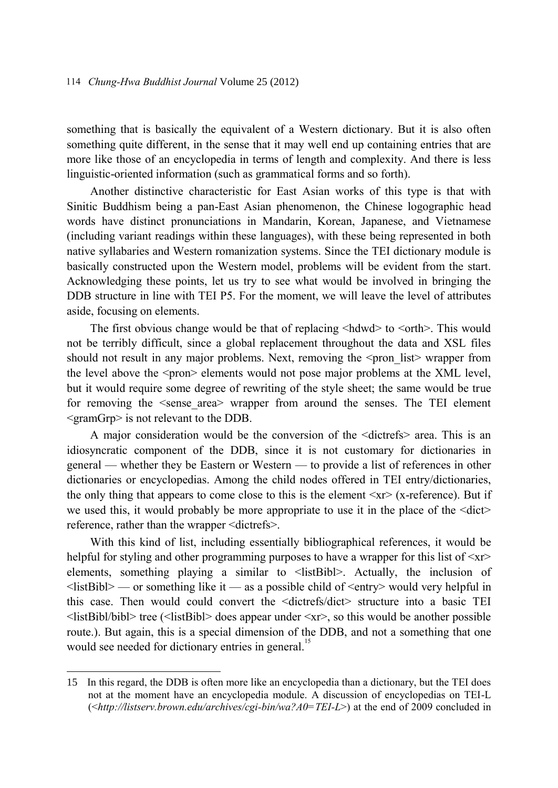something that is basically the equivalent of a Western dictionary. But it is also often something quite different, in the sense that it may well end up containing entries that are more like those of an encyclopedia in terms of length and complexity. And there is less linguistic-oriented information (such as grammatical forms and so forth).

Another distinctive characteristic for East Asian works of this type is that with Sinitic Buddhism being a pan-East Asian phenomenon, the Chinese logographic head words have distinct pronunciations in Mandarin, Korean, Japanese, and Vietnamese (including variant readings within these languages), with these being represented in both native syllabaries and Western romanization systems. Since the TEI dictionary module is basically constructed upon the Western model, problems will be evident from the start. Acknowledging these points, let us try to see what would be involved in bringing the DDB structure in line with TEI P5. For the moment, we will leave the level of attributes aside, focusing on elements.

The first obvious change would be that of replacing  $\langle$ hdwd $\rangle$  to  $\langle$ orth $\rangle$ . This would not be terribly difficult, since a global replacement throughout the data and XSL files should not result in any major problems. Next, removing the  $\leq$  pron list vrapper from the level above the  $\epsilon$  spron $\epsilon$  elements would not pose major problems at the XML level, but it would require some degree of rewriting of the style sheet; the same would be true for removing the  $\le$ sense area> wrapper from around the senses. The TEI element <gramGrp> is not relevant to the DDB.

A major consideration would be the conversion of the <dictrefs> area. This is an idiosyncratic component of the DDB, since it is not customary for dictionaries in general — whether they be Eastern or Western — to provide a list of references in other dictionaries or encyclopedias. Among the child nodes offered in TEI entry/dictionaries, the only thing that appears to come close to this is the element  $\langle x \rangle$  (x-reference). But if we used this, it would probably be more appropriate to use it in the place of the  $\langle \text{dict} \rangle$ reference, rather than the wrapper <dictrefs>.

With this kind of list, including essentially bibliographical references, it would be helpful for styling and other programming purposes to have a wrapper for this list of  $\langle x \rangle$ elements, something playing a similar to <listBibl>. Actually, the inclusion of  $\langle$ listBibl> — or something like it — as a possible child of  $\langle$ entry $\rangle$  would very helpful in this case. Then would could convert the <dictrefs/dict> structure into a basic TEI  $\le$ listBibl/bibl> tree ( $\le$ listBibl> does appear under  $\le$ xr>, so this would be another possible route.). But again, this is a special dimension of the DDB, and not a something that one would see needed for dictionary entries in general.<sup>15</sup>

<sup>15</sup> In this regard, the DDB is often more like an encyclopedia than a dictionary, but the TEI does not at the moment have an encyclopedia module. A discussion of encyclopedias on TEI-L (<*http://listserv.brown.edu/archives/cgi-bin/wa?A0=TEI-L*>) at the end of 2009 concluded in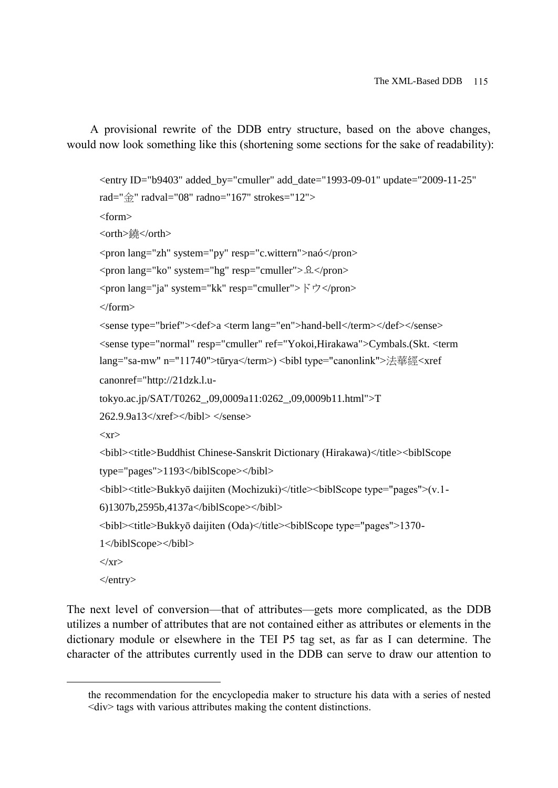A provisional rewrite of the DDB entry structure, based on the above changes, would now look something like this (shortening some sections for the sake of readability):

```
<entry ID="b9403" added_by="cmuller" add_date="1993-09-01" update="2009-11-25" 
rad="金" radval="08" radno="167" strokes="12">
<form>
<orth>鐃</orth>
<pron lang="zh" system="py" resp="c.wittern">naó</pron>
<pron lang="ko" system="hg" resp="cmuller">요</pron>
<pron lang="ja" system="kk" resp="cmuller">ドウ</pron>
</form>
<sense type="brief"><def>a <term lang="en">hand-bell</term></def></sense>
<sense type="normal" resp="cmuller" ref="Yokoi,Hirakawa">Cymbals.(Skt. <term 
lang="sa-mw" n="11740">tūrya</term>) <bibl type="canonlink">法華經<xref 
canonref="http://21dzk.l.u-
tokyo.ac.jp/SAT/T0262_,09,0009a11:0262_,09,0009b11.html">T 
262.9.9a13</xref></bibl> </sense>
<xr>
<bibl><title>Buddhist Chinese-Sanskrit Dictionary (Hirakawa)</title><biblScope 
type="pages">1193</biblScope></bibl>
<bibl><title>Bukkyō daijiten (Mochizuki)</title><biblScope type="pages">(v.1-
6)1307b,2595b,4137a</biblScope></bibl>
<bibl><title>Bukkyō daijiten (Oda)</title><biblScope type="pages">1370-
1</biblScope></bibl>
\langle xr \rangle</entry>
```
The next level of conversion—that of attributes—gets more complicated, as the DDB utilizes a number of attributes that are not contained either as attributes or elements in the dictionary module or elsewhere in the TEI P5 tag set, as far as I can determine. The character of the attributes currently used in the DDB can serve to draw our attention to

the recommendation for the encyclopedia maker to structure his data with a series of nested  $\langle \text{div} \rangle$  tags with various attributes making the content distinctions.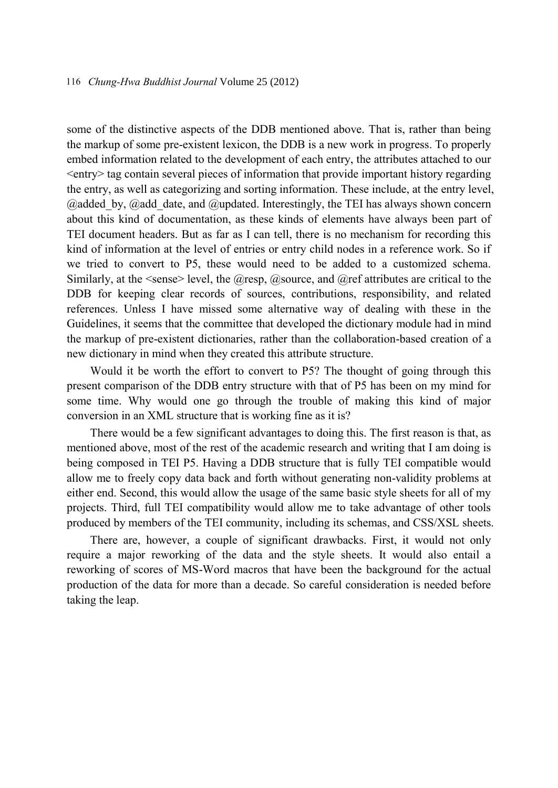some of the distinctive aspects of the DDB mentioned above. That is, rather than being the markup of some pre-existent lexicon, the DDB is a new work in progress. To properly embed information related to the development of each entry, the attributes attached to our <entry> tag contain several pieces of information that provide important history regarding the entry, as well as categorizing and sorting information. These include, at the entry level,  $\omega$ added by,  $\omega$ add date, and  $\omega$ updated. Interestingly, the TEI has always shown concern about this kind of documentation, as these kinds of elements have always been part of TEI document headers. But as far as I can tell, there is no mechanism for recording this kind of information at the level of entries or entry child nodes in a reference work. So if we tried to convert to P5, these would need to be added to a customized schema. Similarly, at the  $\le$ sense $\ge$  level, the  $@$ resp,  $@$ source, and  $@$ ref attributes are critical to the DDB for keeping clear records of sources, contributions, responsibility, and related references. Unless I have missed some alternative way of dealing with these in the Guidelines, it seems that the committee that developed the dictionary module had in mind the markup of pre-existent dictionaries, rather than the collaboration-based creation of a new dictionary in mind when they created this attribute structure.

Would it be worth the effort to convert to P5? The thought of going through this present comparison of the DDB entry structure with that of P5 has been on my mind for some time. Why would one go through the trouble of making this kind of major conversion in an XML structure that is working fine as it is?

There would be a few significant advantages to doing this. The first reason is that, as mentioned above, most of the rest of the academic research and writing that I am doing is being composed in TEI P5. Having a DDB structure that is fully TEI compatible would allow me to freely copy data back and forth without generating non-validity problems at either end. Second, this would allow the usage of the same basic style sheets for all of my projects. Third, full TEI compatibility would allow me to take advantage of other tools produced by members of the TEI community, including its schemas, and CSS/XSL sheets.

There are, however, a couple of significant drawbacks. First, it would not only require a major reworking of the data and the style sheets. It would also entail a reworking of scores of MS-Word macros that have been the background for the actual production of the data for more than a decade. So careful consideration is needed before taking the leap.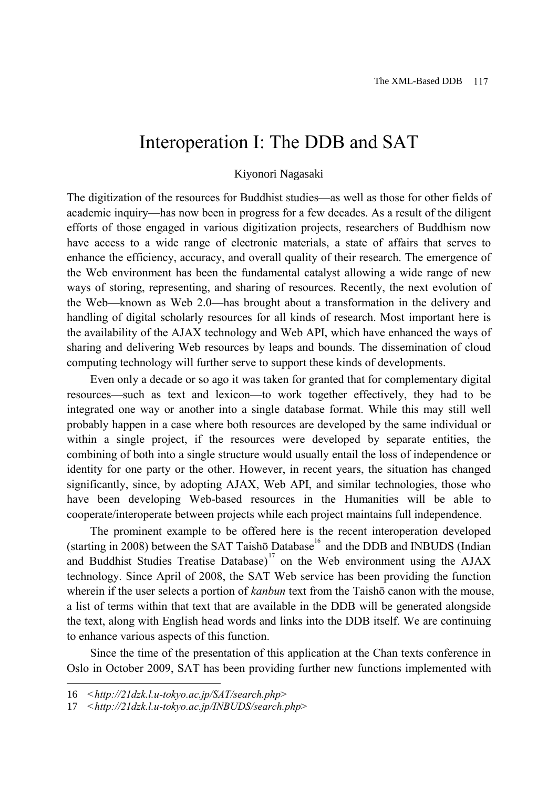## Interoperation I: The DDB and SAT

#### Kiyonori Nagasaki

The digitization of the resources for Buddhist studies—as well as those for other fields of academic inquiry—has now been in progress for a few decades. As a result of the diligent efforts of those engaged in various digitization projects, researchers of Buddhism now have access to a wide range of electronic materials, a state of affairs that serves to enhance the efficiency, accuracy, and overall quality of their research. The emergence of the Web environment has been the fundamental catalyst allowing a wide range of new ways of storing, representing, and sharing of resources. Recently, the next evolution of the Web—known as Web 2.0—has brought about a transformation in the delivery and handling of digital scholarly resources for all kinds of research. Most important here is the availability of the AJAX technology and Web API, which have enhanced the ways of sharing and delivering Web resources by leaps and bounds. The dissemination of cloud computing technology will further serve to support these kinds of developments.

Even only a decade or so ago it was taken for granted that for complementary digital resources—such as text and lexicon—to work together effectively, they had to be integrated one way or another into a single database format. While this may still well probably happen in a case where both resources are developed by the same individual or within a single project, if the resources were developed by separate entities, the combining of both into a single structure would usually entail the loss of independence or identity for one party or the other. However, in recent years, the situation has changed significantly, since, by adopting AJAX, Web API, and similar technologies, those who have been developing Web-based resources in the Humanities will be able to cooperate/interoperate between projects while each project maintains full independence.

The prominent example to be offered here is the recent interoperation developed (starting in 2008) between the SAT Taishō Database<sup>16</sup> and the DDB and INBUDS (Indian and Buddhist Studies Treatise Database)<sup>17</sup> on the Web environment using the  $\overline{A J A X}$ technology. Since April of 2008, the SAT Web service has been providing the function wherein if the user selects a portion of *kanbun* text from the Taishō canon with the mouse, a list of terms within that text that are available in the DDB will be generated alongside the text, along with English head words and links into the DDB itself. We are continuing to enhance various aspects of this function.

Since the time of the presentation of this application at the Chan texts conference in Oslo in October 2009, SAT has been providing further new functions implemented with

<sup>16</sup> *<http://21dzk.l.u-tokyo.ac.jp/SAT/search.php>*

<sup>17</sup> *<http://21dzk.l.u-tokyo.ac.jp/INBUDS/search.php>*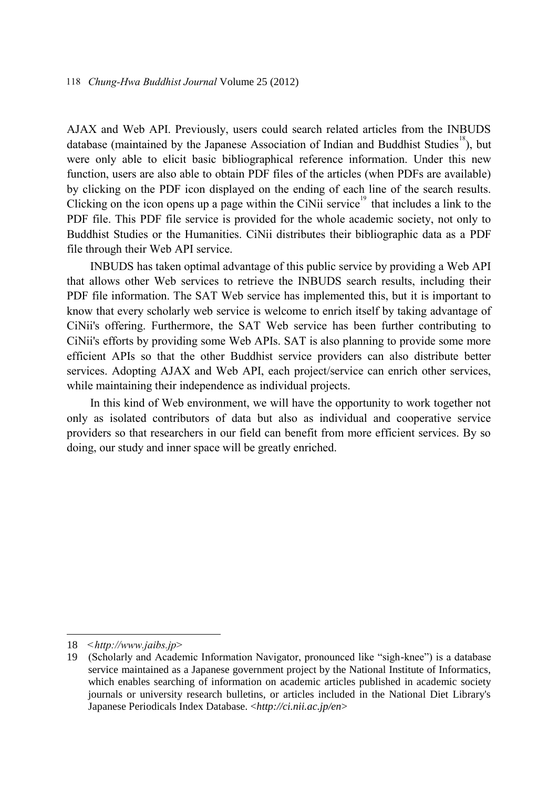AJAX and Web API. Previously, users could search related articles from the INBUDS database (maintained by the Japanese Association of Indian and Buddhist Studies<sup>18</sup>), but were only able to elicit basic bibliographical reference information. Under this new function, users are also able to obtain PDF files of the articles (when PDFs are available) by clicking on the PDF icon displayed on the ending of each line of the search results. Clicking on the icon opens up a page within the CiNii service<sup>19</sup> that includes a link to the PDF file. This PDF file service is provided for the whole academic society, not only to Buddhist Studies or the Humanities. CiNii distributes their bibliographic data as a PDF file through their Web API service.

INBUDS has taken optimal advantage of this public service by providing a Web API that allows other Web services to retrieve the INBUDS search results, including their PDF file information. The SAT Web service has implemented this, but it is important to know that every scholarly web service is welcome to enrich itself by taking advantage of CiNii's offering. Furthermore, the SAT Web service has been further contributing to CiNii's efforts by providing some Web APIs. SAT is also planning to provide some more efficient APIs so that the other Buddhist service providers can also distribute better services. Adopting AJAX and Web API, each project/service can enrich other services, while maintaining their independence as individual projects.

In this kind of Web environment, we will have the opportunity to work together not only as isolated contributors of data but also as individual and cooperative service providers so that researchers in our field can benefit from more efficient services. By so doing, our study and inner space will be greatly enriched.

<sup>18</sup> *<http://www.jaibs.jp>*

<sup>19</sup> (Scholarly and Academic Information Navigator, pronounced like "sigh-knee") is a database service maintained as a Japanese government project by the National Institute of Informatics, which enables searching of information on academic articles published in academic society journals or university research bulletins, or articles included in the National Diet Library's Japanese Periodicals Index Database. <*http://ci.nii.ac.jp/en*>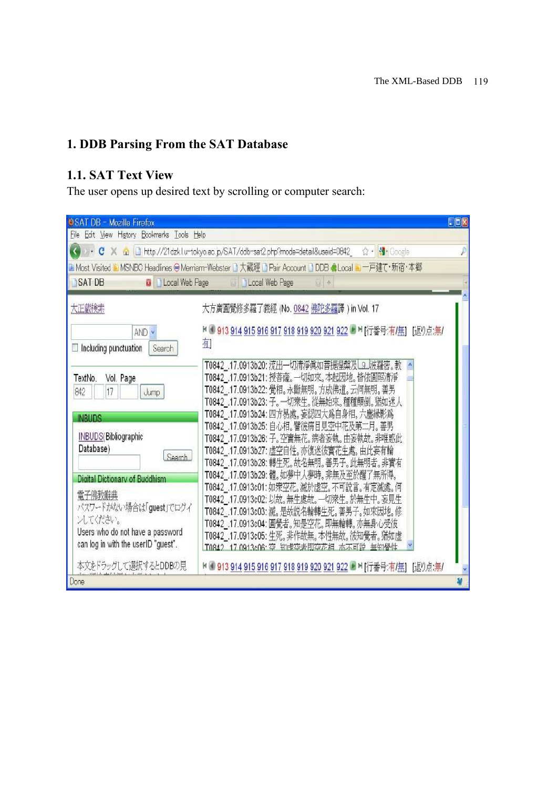#### **1. DDB Parsing From the SAT Database**

#### **1.1. SAT Text View**

The user opens up desired text by scrolling or computer search:

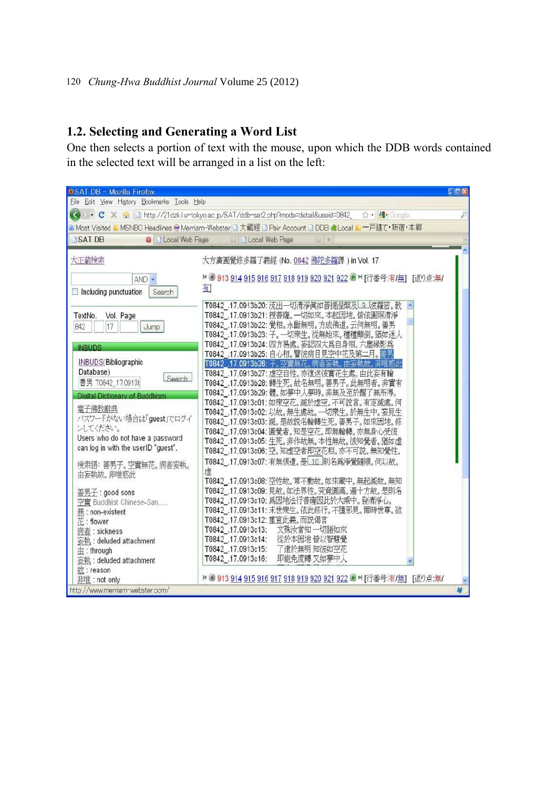#### **1.2. Selecting and Generating a Word List**

One then selects a portion of text with the mouse, upon which the DDB words contained in the selected text will be arranged in a list on the left:

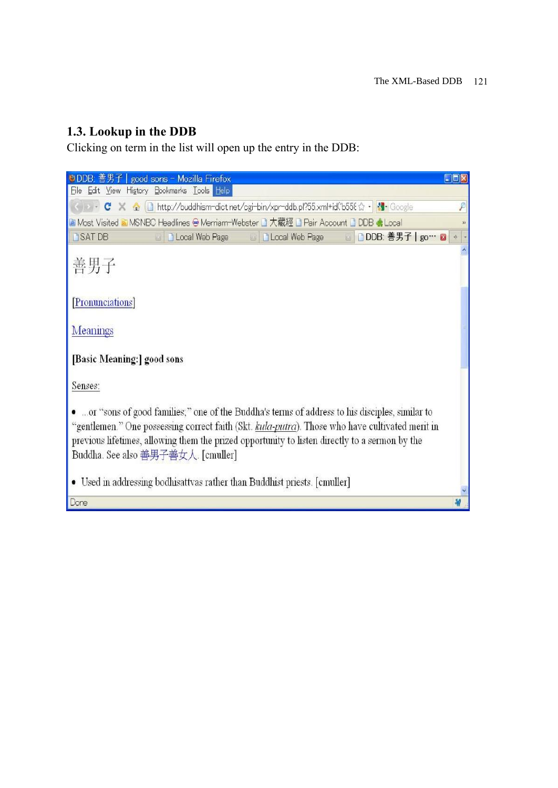### **1.3. Lookup in the DDB**

Clicking on term in the list will open up the entry in the DDB:

| ●DDB: 善男<br>good sons - Mozilla Firefox                                                                                                                                                                                                                                                                                                     | DOX                  |
|---------------------------------------------------------------------------------------------------------------------------------------------------------------------------------------------------------------------------------------------------------------------------------------------------------------------------------------------|----------------------|
| File Edit View History Bookmarks Tools Help                                                                                                                                                                                                                                                                                                 |                      |
| C X 企   http://buddhism-dict.net/cgi-bin/xpr-ddb.pl?55.xml+id('b558 ☆ ・ <mark>*1</mark> · Google                                                                                                                                                                                                                                            |                      |
| La Most Visited a MSNBC Headlines ● Merriam-Webster 』大藏經 』 Pair Account 』 DDB ● Local                                                                                                                                                                                                                                                       | $\mathcal{V}$        |
| ■ DDB: 善男子   go… ■<br><b>B</b> SATDB<br><b>D</b> Local Web Page<br><b>D</b> Local Web Page                                                                                                                                                                                                                                                  | $\frac{1}{\sqrt{2}}$ |
| 善男子                                                                                                                                                                                                                                                                                                                                         |                      |
| [Pronunciations]                                                                                                                                                                                                                                                                                                                            |                      |
| Meanings                                                                                                                                                                                                                                                                                                                                    |                      |
| [Basic Meaning:] good sons                                                                                                                                                                                                                                                                                                                  |                      |
| Senses:                                                                                                                                                                                                                                                                                                                                     |                      |
| .  or "sons of good families," one of the Buddha's terms of address to his disciples, similar to<br>"gentlemen." One possessing correct faith (Skt. kula-putra). Those who have cultivated merit in<br>previous lifetimes, allowing them the prized opportunity to listen directly to a sermon by the<br>Buddha. See also 善男子善女人. [cmuller] |                      |
| • Used in addressing bodhisattvas rather than Buddhist priests. [cmuller]                                                                                                                                                                                                                                                                   |                      |
| Done                                                                                                                                                                                                                                                                                                                                        |                      |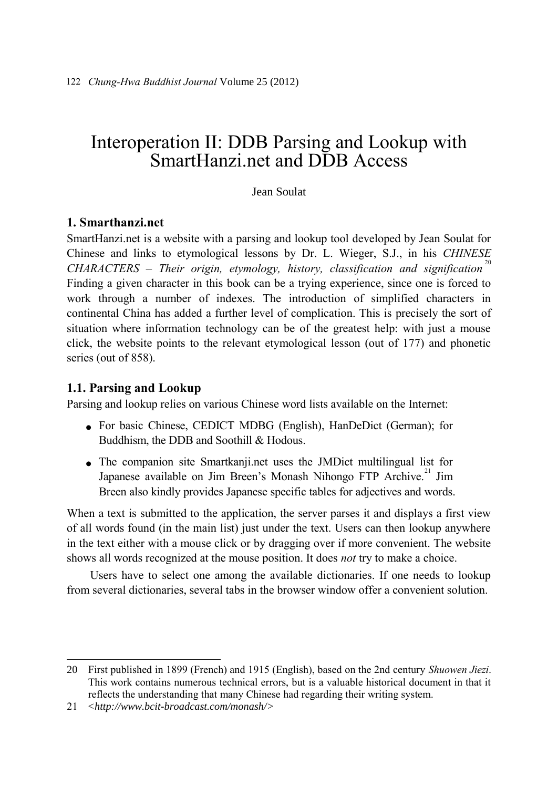## Interoperation II: DDB Parsing and Lookup with SmartHanzi net and DDB Access

#### Jean Soulat

#### **1. Smarthanzi.net**

SmartHanzi.net is a website with a parsing and lookup tool developed by Jean Soulat for Chinese and links to etymological lessons by Dr. L. Wieger, S.J., in his *CHINESE CHARACTERS – Their origin, etymology, history, classification and signification* <sup>20</sup> Finding a given character in this book can be a trying experience, since one is forced to work through a number of indexes. The introduction of simplified characters in continental China has added a further level of complication. This is precisely the sort of situation where information technology can be of the greatest help: with just a mouse click, the website points to the relevant etymological lesson (out of 177) and phonetic series (out of 858).

#### **1.1. Parsing and Lookup**

Parsing and lookup relies on various Chinese word lists available on the Internet:

- For basic Chinese, CEDICT MDBG (English), HanDeDict (German); for Buddhism, the DDB and Soothill & Hodous.
- The companion site Smartkanji.net uses the JMDict multilingual list for Japanese available on Jim Breen's Monash Nihongo FTP Archive.<sup>21</sup> Jim Breen also kindly provides Japanese specific tables for adjectives and words.

When a text is submitted to the application, the server parses it and displays a first view of all words found (in the main list) just under the text. Users can then lookup anywhere in the text either with a mouse click or by dragging over if more convenient. The website shows all words recognized at the mouse position. It does *not* try to make a choice.

Users have to select one among the available dictionaries. If one needs to lookup from several dictionaries, several tabs in the browser window offer a convenient solution.

<sup>20</sup> First published in 1899 (French) and 1915 (English), based on the 2nd century *Shuowen Jiezi*. This work contains numerous technical errors, but is a valuable historical document in that it reflects the understanding that many Chinese had regarding their writing system.

<sup>21</sup> *<http://www.bcit-broadcast.com/monash/>*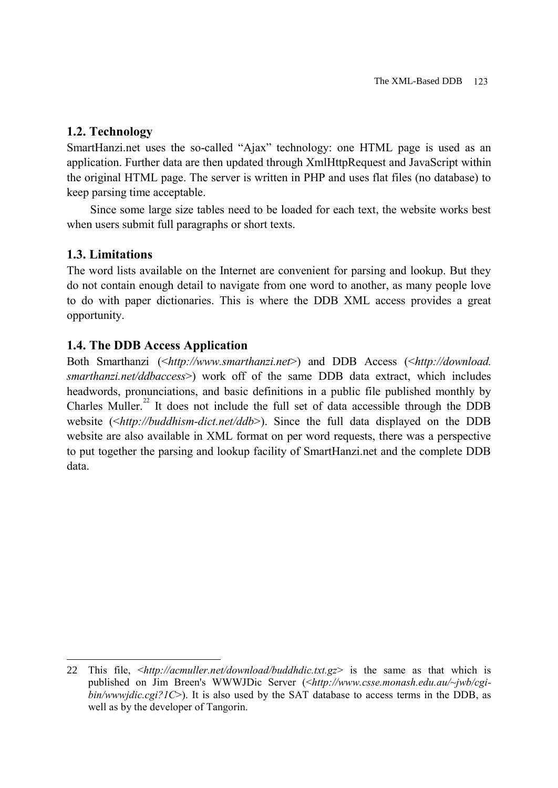#### **1.2. Technology**

SmartHanzi.net uses the so-called "Ajax" technology: one HTML page is used as an application. Further data are then updated through XmlHttpRequest and JavaScript within the original HTML page. The server is written in PHP and uses flat files (no database) to keep parsing time acceptable.

Since some large size tables need to be loaded for each text, the website works best when users submit full paragraphs or short texts.

#### **1.3. Limitations**

 $\overline{a}$ 

The word lists available on the Internet are convenient for parsing and lookup. But they do not contain enough detail to navigate from one word to another, as many people love to do with paper dictionaries. This is where the DDB XML access provides a great opportunity.

#### **1.4. The DDB Access Application**

Both Smarthanzi (<*http://www.smarthanzi.net*>) and DDB Access (<*http://download. smarthanzi.net/ddbaccess*>) work off of the same DDB data extract, which includes headwords, pronunciations, and basic definitions in a public file published monthly by Charles Muller.<sup>22</sup> It does not include the full set of data accessible through the DDB website (<*http://buddhism-dict.net/ddb*>). Since the full data displayed on the DDB website are also available in XML format on per word requests, there was a perspective to put together the parsing and lookup facility of SmartHanzi.net and the complete DDB data.

<sup>22</sup> This file, <*http://acmuller.net/download/buddhdic.txt.gz*> is the same as that which is published on Jim Breen's WWWJDic Server (<*http://www.csse.monash.edu.au/~jwb/cgibin/wwwjdic.cgi?1C*>). It is also used by the SAT database to access terms in the DDB, as well as by the developer of Tangorin.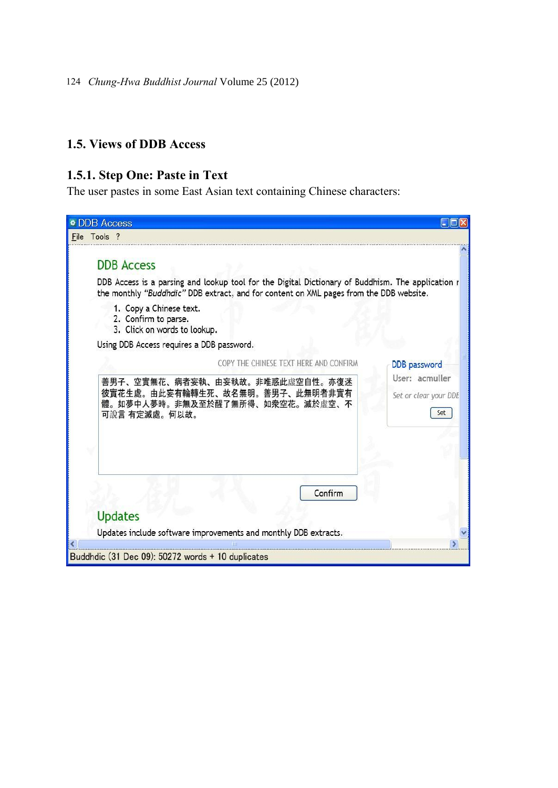#### **1.5. Views of DDB Access**

#### **1.5.1. Step One: Paste in Text**

The user pastes in some East Asian text containing Chinese characters:

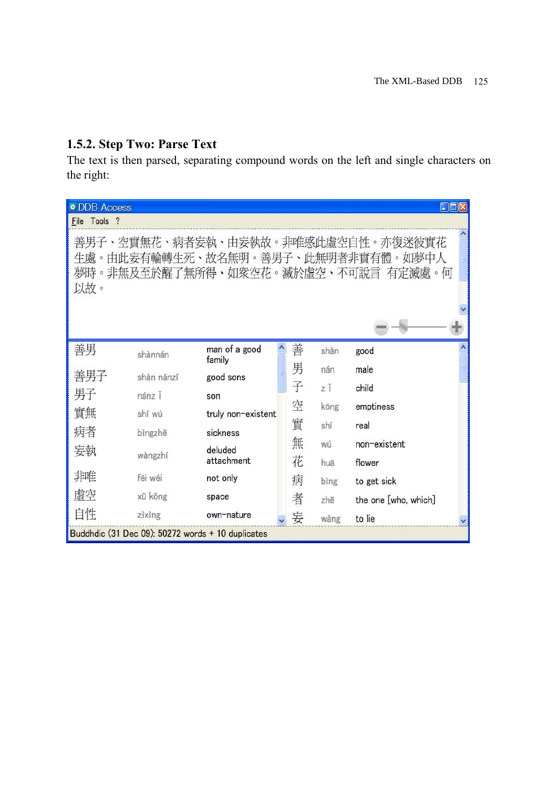### **1.5.2. Step Two: Parse Text**

The text is then parsed, separating compound words on the left and single characters on the right:

| <b>DDB</b> Access                                                                                                      |            |                         |  |   |      | $\blacksquare$ $\blacksquare$ $\blacksquare$ $\times$ |  |
|------------------------------------------------------------------------------------------------------------------------|------------|-------------------------|--|---|------|-------------------------------------------------------|--|
| File Tools ?                                                                                                           |            |                         |  |   |      |                                                       |  |
| 善男子、空實無花、病者妄執、由妄執故。非唯惑此虛空自性。亦復迷彼實花<br>生處。由此妄有輪轉生死、故名無明。善男子、此無明者非實有體。如夢中人<br>夢時。非無及至於醒了無所得、如衆空花。滅於虛空、不可說言 有定滅處。何<br>以故。 |            |                         |  |   |      |                                                       |  |
| 善男                                                                                                                     | shànnán    | man of a good<br>family |  | 善 | shàn | good                                                  |  |
| 善男子                                                                                                                    | shàn nánzí | good sons               |  | 男 | nán  | male                                                  |  |
| 男子                                                                                                                     | nánz Ĭ     | son                     |  | 子 | zĬ   | child                                                 |  |
| 實無                                                                                                                     | shí wú     | truly non-existent      |  | 空 | köng | emptiness                                             |  |
| 病者                                                                                                                     | bìngzhě    | sickness                |  | 實 | shí  | real                                                  |  |
| 妄執                                                                                                                     |            | deluded                 |  | 無 | wú   | non-existent                                          |  |
|                                                                                                                        | wàngzhí    | attachment              |  | 花 | huā  | flower                                                |  |
| 非唯                                                                                                                     | fēi wéi    | not only                |  | 病 | bìng | to get sick                                           |  |
| 虚空                                                                                                                     | xū köng    | space                   |  | 者 | zhě  | the one [who, which]                                  |  |
| 自性                                                                                                                     | zìxìng     | own-nature              |  | 妄 | wàng | to lie                                                |  |
| Buddhdic (31 Dec 09): 50272 words + 10 duplicates                                                                      |            |                         |  |   |      |                                                       |  |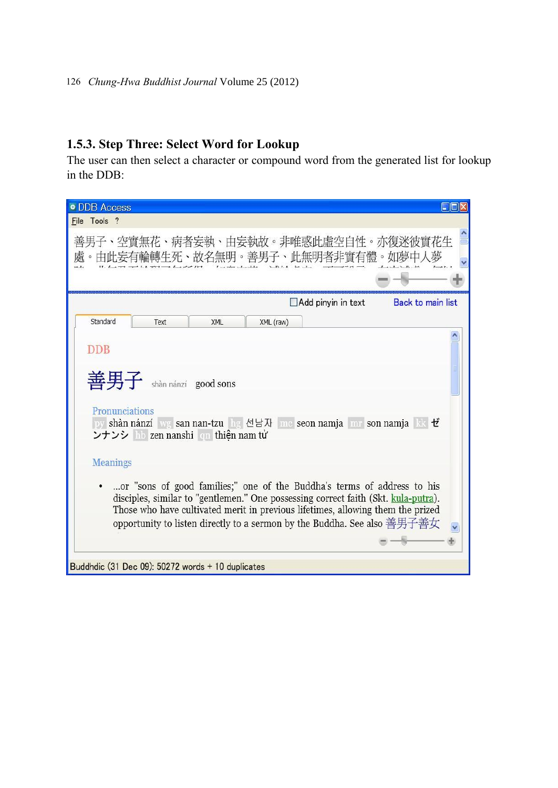### **1.5.3. Step Three: Select Word for Lookup**

The user can then select a character or compound word from the generated list for lookup in the DDB:

| <b>* DDB Access</b>                                                                                                                                                                                                                                                                                                                                                                                  |
|------------------------------------------------------------------------------------------------------------------------------------------------------------------------------------------------------------------------------------------------------------------------------------------------------------------------------------------------------------------------------------------------------|
| File Tools ?                                                                                                                                                                                                                                                                                                                                                                                         |
| 善男子、空實無花、病者妄執、由妄執故。非唯惑此虛空自性。亦復迷彼實花生<br>。由此妄有輪轉生死、故名無明。善男子、此無明者非實有體。如夢中人夢                                                                                                                                                                                                                                                                                                                             |
| <b>Back to main list</b><br>$\Box$ Add pinyin in text                                                                                                                                                                                                                                                                                                                                                |
| Standard<br>XML (raw)<br>Text<br><b>XML</b>                                                                                                                                                                                                                                                                                                                                                          |
| DDB<br>善男子<br>shàn nánzí good sons<br>Pronunciations<br>py shàn nánzí wg san nan-tzu hg 선남자 me seon namja mr son namja RR ゼ<br>ンナンシ hb zen nanshi qn thiện nam tử                                                                                                                                                                                                                                    |
| <b>Meanings</b><br>or "sons of good families;" one of the Buddha's terms of address to his<br>disciples, similar to "gentlemen." One possessing correct faith (Skt. kula-putra).<br>Those who have cultivated merit in previous lifetimes, allowing them the prized<br>opportunity to listen directly to a sermon by the Buddha. See also 善男子善女<br>Buddhdic (31 Dec 09): 50272 words + 10 duplicates |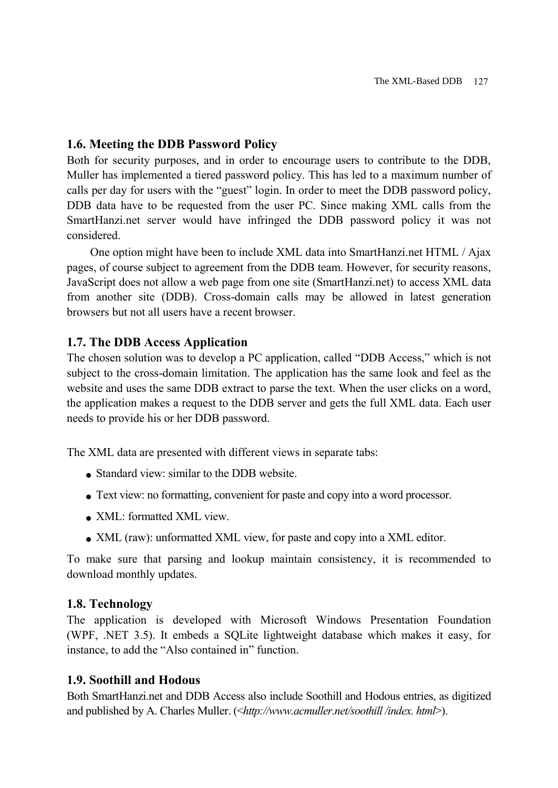#### **1.6. Meeting the DDB Password Policy**

Both for security purposes, and in order to encourage users to contribute to the DDB, Muller has implemented a tiered password policy. This has led to a maximum number of calls per day for users with the "guest" login. In order to meet the DDB password policy, DDB data have to be requested from the user PC. Since making XML calls from the SmartHanzi.net server would have infringed the DDB password policy it was not considered.

One option might have been to include XML data into SmartHanzi.net HTML / Ajax pages, of course subject to agreement from the DDB team. However, for security reasons, JavaScript does not allow a web page from one site (SmartHanzi.net) to access XML data from another site (DDB). Cross-domain calls may be allowed in latest generation browsers but not all users have a recent browser.

#### **1.7. The DDB Access Application**

The chosen solution was to develop a PC application, called "DDB Access," which is not subject to the cross-domain limitation. The application has the same look and feel as the website and uses the same DDB extract to parse the text. When the user clicks on a word, the application makes a request to the DDB server and gets the full XML data. Each user needs to provide his or her DDB password.

The XML data are presented with different views in separate tabs:

- Standard view: similar to the DDB website.
- Text view: no formatting, convenient for paste and copy into a word processor.
- XML: formatted XML view.
- XML (raw): unformatted XML view, for paste and copy into a XML editor.

To make sure that parsing and lookup maintain consistency, it is recommended to download monthly updates.

#### **1.8. Technology**

The application is developed with Microsoft Windows Presentation Foundation (WPF, .NET 3.5). It embeds a SQLite lightweight database which makes it easy, for instance, to add the "Also contained in" function.

#### **1.9. Soothill and Hodous**

Both SmartHanzi.net and DDB Access also include Soothill and Hodous entries, as digitized and published by A. Charles Muller. (<*http://www.acmuller.net/soothill /index. html*>).